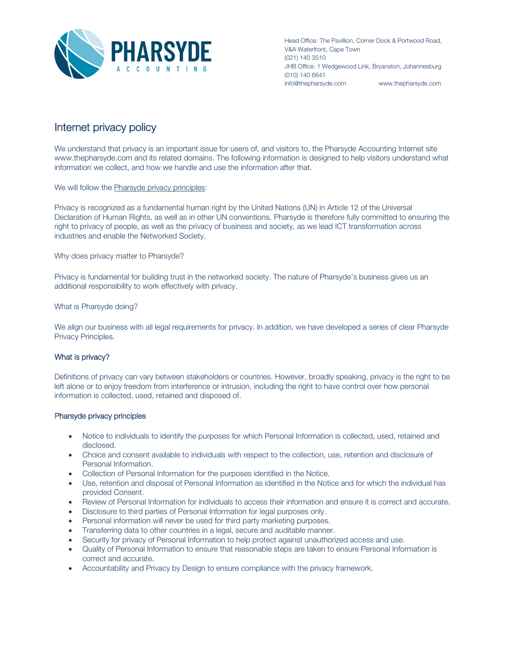

Head Office: The Pavillion, Corner Dock & Portwood Road, V&A Waterfront, Cape Town (021) 140 3510 JHB Office: 1 Wedgewood Link, Bryanston, Johannesburg (010) 140 6641 info@thepharsyde.com www.thepharsyde.com

## Internet privacy policy

We understand that privacy is an important issue for users of, and visitors to, the Pharsyde Accounting Internet site www.thepharsyde.com and its related domains. The following information is designed to help visitors understand what information we collect, and how we handle and use the information after that.

We will follow the Pharsyde privacy principles:

Privacy is recognized as a fundamental human right by the United Nations (UN) in Article 12 of the Universal Declaration of Human Rights, as well as in other UN conventions. Pharsyde is therefore fully committed to ensuring the right to privacy of people, as well as the privacy of business and society, as we lead ICT transformation across industries and enable the Networked Society.

Why does privacy matter to Pharsyde?

Privacy is fundamental for building trust in the networked society. The nature of Pharsyde's business gives us an additional responsibility to work effectively with privacy.

What is Pharsyde doing?

We align our business with all legal requirements for privacy. In addition, we have developed a series of clear Pharsyde Privacy Principles.

## What is privacy?

Definitions of privacy can vary between stakeholders or countries. However, broadly speaking, privacy is the right to be left alone or to enjoy freedom from interference or intrusion, including the right to have control over how personal information is collected, used, retained and disposed of.

## Pharsyde privacy principles

- Notice to individuals to identify the purposes for which Personal Information is collected, used, retained and disclosed.
- Choice and consent available to individuals with respect to the collection, use, retention and disclosure of Personal Information.
- Collection of Personal Information for the purposes identified in the Notice.
- Use, retention and disposal of Personal Information as identified in the Notice and for which the individual has provided Consent.
- Review of Personal Information for individuals to access their information and ensure it is correct and accurate.
- Disclosure to third parties of Personal Information for legal purposes only.
- Personal information will never be used for third party marketing purposes.
- Transferring data to other countries in a legal, secure and auditable manner.
- Security for privacy of Personal Information to help protect against unauthorized access and use.
- Quality of Personal Information to ensure that reasonable steps are taken to ensure Personal Information is correct and accurate.
- Accountability and Privacy by Design to ensure compliance with the privacy framework.